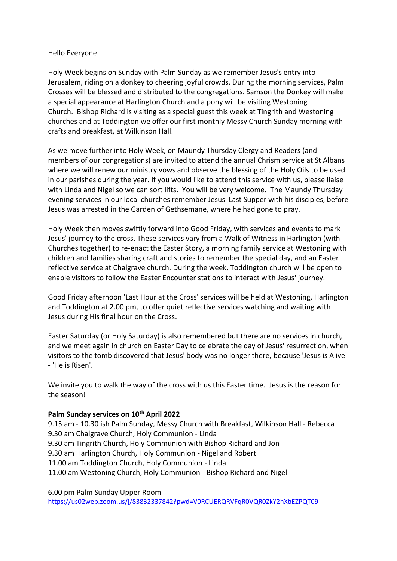#### Hello Everyone

Holy Week begins on Sunday with Palm Sunday as we remember Jesus's entry into Jerusalem, riding on a donkey to cheering joyful crowds. During the morning services, Palm Crosses will be blessed and distributed to the congregations. Samson the Donkey will make a special appearance at Harlington Church and a pony will be visiting Westoning Church. Bishop Richard is visiting as a special guest this week at Tingrith and Westoning churches and at Toddington we offer our first monthly Messy Church Sunday morning with crafts and breakfast, at Wilkinson Hall.

As we move further into Holy Week, on Maundy Thursday Clergy and Readers (and members of our congregations) are invited to attend the annual Chrism service at St Albans where we will renew our ministry vows and observe the blessing of the Holy Oils to be used in our parishes during the year. If you would like to attend this service with us, please liaise with Linda and Nigel so we can sort lifts. You will be very welcome. The Maundy Thursday evening services in our local churches remember Jesus' Last Supper with his disciples, before Jesus was arrested in the Garden of Gethsemane, where he had gone to pray.

Holy Week then moves swiftly forward into Good Friday, with services and events to mark Jesus' journey to the cross. These services vary from a Walk of Witness in Harlington (with Churches together) to re-enact the Easter Story, a morning family service at Westoning with children and families sharing craft and stories to remember the special day, and an Easter reflective service at Chalgrave church. During the week, Toddington church will be open to enable visitors to follow the Easter Encounter stations to interact with Jesus' journey.

Good Friday afternoon 'Last Hour at the Cross' services will be held at Westoning, Harlington and Toddington at 2.00 pm, to offer quiet reflective services watching and waiting with Jesus during His final hour on the Cross.

Easter Saturday (or Holy Saturday) is also remembered but there are no services in church, and we meet again in church on Easter Day to celebrate the day of Jesus' resurrection, when visitors to the tomb discovered that Jesus' body was no longer there, because 'Jesus is Alive' - 'He is Risen'.

We invite you to walk the way of the cross with us this Easter time. Jesus is the reason for the season!

#### **Palm Sunday services on 10th April 2022**

9.15 am - 10.30 ish Palm Sunday, Messy Church with Breakfast, Wilkinson Hall - Rebecca 9.30 am Chalgrave Church, Holy Communion - Linda 9.30 am Tingrith Church, Holy Communion with Bishop Richard and Jon 9.30 am Harlington Church, Holy Communion - Nigel and Robert 11.00 am Toddington Church, Holy Communion - Linda 11.00 am Westoning Church, Holy Communion - Bishop Richard and Nigel

6.00 pm Palm Sunday Upper Room

<https://us02web.zoom.us/j/83832337842?pwd=V0RCUERQRVFqR0VQR0ZkY2hXbEZPQT09>